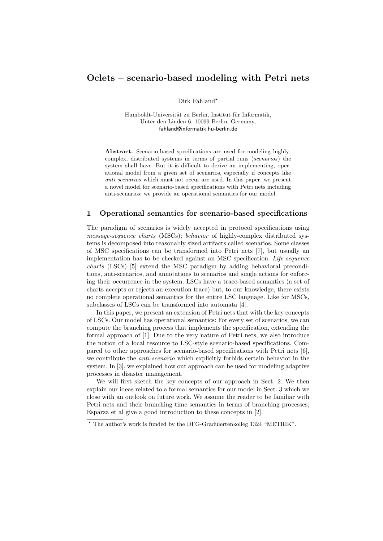# Oclets – scenario-based modeling with Petri nets

Dirk Fahland\*

Humboldt-Universität zu Berlin, Institut für Informatik, Unter den Linden 6, 10099 Berlin, Germany, fahland@informatik.hu-berlin.de

Abstract. Scenario-based specifications are used for modeling highlycomplex, distributed systems in terms of partial runs (scenarios) the system shall have. But it is difficult to derive an implementing, operational model from a given set of scenarios, especially if concepts like anti-scenarios which must not occur are used. In this paper, we present a novel model for scenario-based specifications with Petri nets including anti-scenarios; we provide an operational semantics for our model.

### 1 Operational semantics for scenario-based specifications

The paradigm of scenarios is widely accepted in protocol specifications using message-sequence charts (MSCs); behavior of highly-complex distributed systems is decomposed into reasonably sized artifacts called scenarios. Some classes of MSC specifications can be transformed into Petri nets [7], but usually an implementation has to be checked against an MSC specification. Life-sequence charts (LSCs) [5] extend the MSC paradigm by adding behavioral preconditions, anti-scenarios, and annotations to scenarios and single actions for enforcing their occurrence in the system. LSCs have a trace-based semantics (a set of charts accepts or rejects an execution trace) but, to our knowledge, there exists no complete operational semantics for the entire LSC language. Like for MSCs, subclasses of LSCs can be transformed into automata [4].

In this paper, we present an extension of Petri nets that with the key concepts of LSCs. Our model has operational semantics: For every set of scenarios, we can compute the branching process that implements the specification, extending the formal approach of [1]. Due to the very nature of Petri nets, we also introduce the notion of a local resource to LSC-style scenario-based specifications. Compared to other approaches for scenario-based specifications with Petri nets [6], we contribute the *anti-scenario* which explicitly forbids certain behavior in the system. In [3], we explained how our approach can be used for modeling adaptive processes in disaster management.

We will first sketch the key concepts of our approach in Sect. 2. We then explain our ideas related to a formal semantics for our model in Sect. 3 which we close with an outlook on future work. We assume the reader to be familiar with Petri nets and their branching time semantics in terms of branching processes; Esparza et al give a good introduction to these concepts in [2].

<sup>?</sup> The author's work is funded by the DFG-Graduiertenkolleg 1324 "METRIK".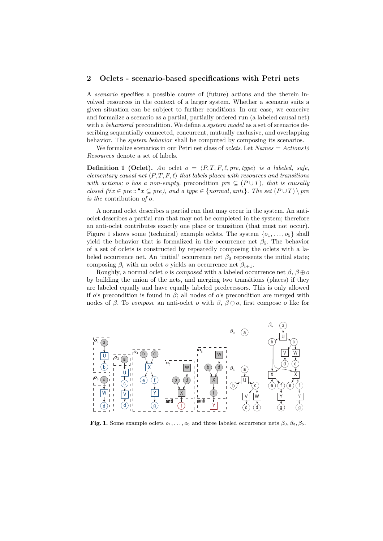#### 2 Oclets - scenario-based specifications with Petri nets

A scenario specifies a possible course of (future) actions and the therein involved resources in the context of a larger system. Whether a scenario suits a given situation can be subject to further conditions. In our case, we conceive and formalize a scenario as a partial, partially ordered run (a labeled causal net) with a *behavioral* precondition. We define a *system model* as a set of scenarios describing sequentially connected, concurrent, mutually exclusive, and overlapping behavior. The system behavior shall be computed by composing its scenarios.

We formalize scenarios in our Petri net class of *oclets*. Let  $Names = Actions \oplus$ Resources denote a set of labels.

**Definition 1 (Oclet).** An oclet  $o = \langle P, T, F, \ell, pre, type \rangle$  is a labeled, safe, elementary causal net  $\langle P, T, F, \ell \rangle$  that labels places with resources and transitions with actions; o has a non-empty, precondition pre  $\subseteq (P \cup T)$ , that is causally closed  $(\forall x \in pre:: \bullet x \subseteq pre)$ , and a type  $\in \{normal, anti\}$ . The set  $(P \cup T) \setminus pre$ is the contribution of o.

A normal oclet describes a partial run that may occur in the system. An antioclet describes a partial run that may not be completed in the system; therefore an anti-oclet contributes exactly one place or transition (that must not occur). Figure 1 shows some (technical) example oclets. The system  $\{o_1, \ldots, o_5\}$  shall yield the behavior that is formalized in the occurrence net  $\beta_5$ . The behavior of a set of oclets is constructed by repeatedly composing the oclets with a labeled occurrence net. An 'initial' occurrence net  $\beta_0$  represents the initial state; composing  $\beta_i$  with an oclet *o* yields an occurrence net  $\beta_{i+1}$ .

Roughly, a normal oclet o is composed with a labeled occurrence net  $\beta$ ,  $\beta \oplus \alpha$ by building the union of the nets, and merging two transitions (places) if they are labeled equally and have equally labeled predecessors. This is only allowed if o's precondition is found in  $\beta$ ; all nodes of o's precondition are merged with nodes of β. To compose an anti-oclet o with  $\beta$ ,  $\beta \ominus o$ , first compose o like for



Fig. 1. Some example oclets  $o_1, \ldots, o_6$  and three labeled occurrence nets  $\beta_0, \beta_3, \beta_5$ .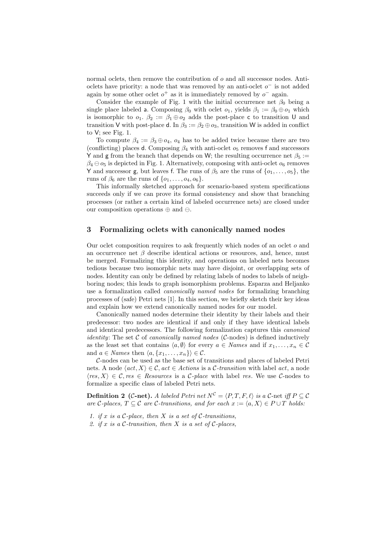normal oclets, then remove the contribution of  $o$  and all successor nodes. Antioclets have priority: a node that was removed by an anti-oclet  $o^-$  is not added again by some other oclet  $o^+$  as it is immediately removed by  $o^-$  again.

Consider the example of Fig. 1 with the initial occurrence net  $\beta_0$  being a single place labeled a. Composing  $\beta_0$  with oclet  $o_1$ , yields  $\beta_1 := \beta_0 \oplus o_1$  which is isomorphic to  $o_1$ .  $\beta_2 := \beta_1 \oplus o_2$  adds the post-place c to transition U and transition V with post-place d. In  $\beta_3 := \beta_2 \oplus \mathfrak{o}_3$ , transition W is added in conflict to V; see Fig. 1.

To compute  $\beta_4 := \beta_3 \oplus o_4$ ,  $o_4$  has to be added twice because there are two (conflicting) places d. Composing  $\beta_4$  with anti-oclet  $o_5$  removes f and successors Y and g from the branch that depends on W; the resulting occurrence net  $\beta_5 :=$  $\beta_4 \ominus \beta_5$  is depicted in Fig. 1. Alternatively, composing with anti-oclet  $\alpha_6$  removes Y and successor g, but leaves f. The runs of  $\beta_5$  are the runs of  $\{o_1, \ldots, o_5\}$ , the runs of  $\beta_6$  are the runs of  $\{o_1, \ldots, o_4, o_6\}.$ 

This informally sketched approach for scenario-based system specifications succeeds only if we can prove its formal consistency and show that branching processes (or rather a certain kind of labeled occurrence nets) are closed under our composition operations  $oplus$  and  $ominus$ .

## 3 Formalizing oclets with canonically named nodes

Our oclet composition requires to ask frequently which nodes of an oclet o and an occurrence net  $\beta$  describe identical actions or resources, and, hence, must be merged. Formalizing this identity, and operations on labeled nets becomes tedious because two isomorphic nets may have disjoint, or overlapping sets of nodes. Identity can only be defined by relating labels of nodes to labels of neighboring nodes; this leads to graph isomorphism problems. Esparza and Heljanko use a formalization called canonically named nodes for formalizing branching processes of (safe) Petri nets [1]. In this section, we briefly sketch their key ideas and explain how we extend canonically named nodes for our model.

Canonically named nodes determine their identity by their labels and their predecessor: two nodes are identical if and only if they have identical labels and identical predecessors. The following formalization captures this canonical *identity*: The set  $\mathcal C$  of *canonically named nodes* ( $\mathcal C$ -nodes) is defined inductively as the least set that contains  $\langle a, \emptyset \rangle$  for every  $a \in Names$  and if  $x_1, \ldots, x_n \in \mathcal{C}$ and  $a \in Names$  then  $\langle a, \{x_1, \ldots, x_n\}\rangle \in \mathcal{C}$ .

C-nodes can be used as the base set of transitions and places of labeled Petri nets. A node  $\langle act, X \rangle \in \mathcal{C}$ ,  $act \in Actions$  is a C-transition with label act, a node  $\langle res, X \rangle \in \mathcal{C}$ , res  $\in$  Resources is a C-place with label res. We use C-nodes to formalize a specific class of labeled Petri nets.

**Definition 2** (C-net). A labeled Petri net  $N^C = \langle P, T, F, \ell \rangle$  is a C-net iff  $P \subseteq C$ are C-places,  $T \subseteq \mathcal{C}$  are C-transitions, and for each  $x := \langle a, X \rangle \in P \cup T$  holds:

- 1. if x is a  $\mathcal{C}\text{-place}$ , then X is a set of  $\mathcal{C}\text{-transitions}$ ,
- 2. if x is a  $\mathcal C$ -transition, then X is a set of  $\mathcal C$ -places,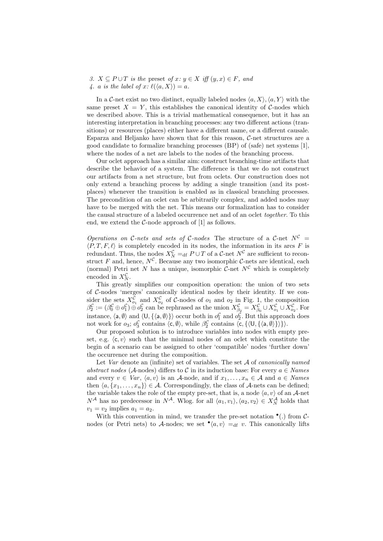3.  $X \subseteq P \cup T$  is the preset of  $x: y \in X$  iff  $(y, x) \in F$ , and 4. a is the label of  $x: \ell(\langle a, X \rangle) = a$ .

In a C-net exist no two distinct, equally labeled nodes  $\langle a, X \rangle$ ,  $\langle a, Y \rangle$  with the same preset  $X = Y$ , this establishes the canonical identity of C-nodes which we described above. This is a trivial mathematical consequence, but it has an interesting interpretation in branching processes: any two different actions (transitions) or resources (places) either have a different name, or a different causale. Esparza and Heljanko have shown that for this reason,  $C$ -net structures are a good candidate to formalize branching processes (BP) of (safe) net systems [1], where the nodes of a net are labels to the nodes of the branching process.

Our oclet approach has a similar aim: construct branching-time artifacts that describe the behavior of a system. The difference is that we do not construct our artifacts from a net structure, but from oclets. Our construction does not only extend a branching process by adding a single transition (and its postplaces) whenever the transition is enabled as in classical branching processes. The precondition of an oclet can be arbitrarily complex, and added nodes may have to be merged with the net. This means our formalization has to consider the causal structure of a labeled occurrence net and of an oclet together. To this end, we extend the  $C$ -node approach of  $[1]$  as follows.

Operations on C-nets and sets of C-nodes The structure of a C-net  $N^{\mathcal{C}}$  =  $\langle P, T, F, \ell \rangle$  is completely encoded in its nodes, the information in its arcs F is redundant. Thus, the nodes  $X_N^{\mathcal{C}} =_{\text{df}} P \cup T$  of a  $\mathcal{C}$ -net  $N^{\mathcal{C}}$  are sufficient to reconstruct F and, hence,  $N^{\mathcal{C}}$ . Because any two isomorphic C-nets are identical, each (normal) Petri net N has a unique, isomorphic C-net  $N^{\mathcal{C}}$  which is completely encoded in  $X_N^{\mathcal{C}}$ .

This greatly simplifies our composition operation: the union of two sets of C-nodes 'merges' canonically identical nodes by their identity. If we consider the sets  $X_{o_1}^{\mathcal{C}}$  and  $X_{o_2}^{\mathcal{C}}$  of  $\mathcal{C}$ -nodes of  $o_1$  and  $o_2$  in Fig. 1, the composition  $\beta_2^{\mathcal{C}} := (\beta_0^{\mathcal{C}} \oplus o_1^{\mathcal{C}}) \oplus o_2^{\mathcal{C}}$  can be rephrased as the union  $X_{\beta_2}^{\mathcal{C}} = X_{\beta_0}^{\mathcal{C}} \cup X_{o_1}^{\mathcal{C}} \cup X_{o_2}^{\mathcal{C}}$ . For instance,  $\langle \mathsf{a}, \emptyset \rangle$  and  $\langle \mathsf{U}, \{\langle \mathsf{a}, \emptyset \rangle\} \rangle$  occur both in  $o_1^{\mathcal{C}}$  and  $o_2^{\mathcal{C}}$ . But this approach does not work for  $o_3$ ;  $o_3^{\mathcal{C}}$  contains  $\langle c, \emptyset \rangle$ , while  $\beta_2^{\mathcal{C}}$  contains  $\langle c, \{\langle \mathsf{U}, \{\langle a, \emptyset \rangle\}\rangle\}\rangle$ .

Our proposed solution is to introduce variables into nodes with empty preset, e.g.  $\langle c, v \rangle$  such that the minimal nodes of an oclet which constitute the begin of a scenario can be assigned to other 'compatible' nodes 'further down' the occurrence net during the composition.

Let Var denote an (infinite) set of variables. The set  $A$  of *canonically named* abstract nodes (A-nodes) differs to C in its induction base: For every  $a \in Names$ and every  $v \in Var$ ,  $\langle a, v \rangle$  is an A-node, and if  $x_1, \ldots, x_n \in A$  and  $a \in Names$ then  $\langle a, \{x_1, \ldots, x_n\}\rangle \in \mathcal{A}$ . Correspondingly, the class of  $\mathcal{A}$ -nets can be defined; the variable takes the role of the empty pre-set, that is, a node  $\langle a, v \rangle$  of an A-net  $N^{\mathcal{A}}$  has no predecessor in  $N^{\mathcal{A}}$ . Wlog. for all  $\langle a_1, v_1 \rangle, \langle a_2, v_2 \rangle \in X_N^{\mathcal{A}}$  holds that  $v_1 = v_2$  implies  $a_1 = a_2$ .

With this convention in mind, we transfer the pre-set notation  $\bullet$  (.) from Cnodes (or Petri nets) to A-nodes; we set  $\mathcal{A}(a, v) =_{df} v$ . This canonically lifts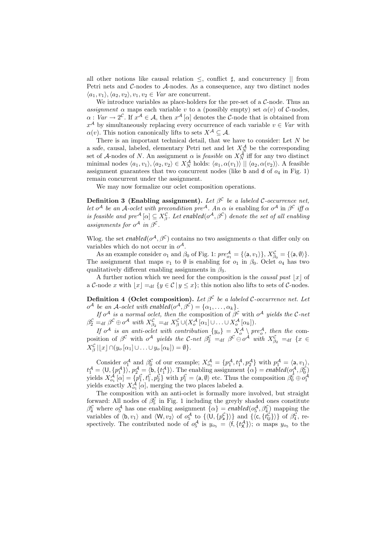all other notions like causal relation  $\leq$ , conflict  $\sharp$ , and concurrency || from Petri nets and  $C$ -nodes to  $A$ -nodes. As a consequence, any two distinct nodes  $\langle a_1, v_1 \rangle, \langle a_2, v_2 \rangle, v_1, v_2 \in Var$  are concurrent.

We introduce variables as place-holders for the pre-set of a  $C$ -node. Thus an assignment  $\alpha$  maps each variable v to a (possibly empty) set  $\alpha(v)$  of C-nodes,  $\alpha: Var \to 2^{\mathcal{C}}.$  If  $x^{\mathcal{A}} \in \mathcal{A}$ , then  $x^{\mathcal{A}}[\alpha]$  denotes the C-node that is obtained from  $x^{\mathcal{A}}$  by simultaneously replacing every occurrence of each variable  $v \in Var$  with  $\alpha(v)$ . This notion canonically lifts to sets  $X^{\mathcal{A}} \subseteq \mathcal{A}$ .

There is an important technical detail, that we have to consider: Let N be a safe, causal, labeled, elementary Petri net and let  $X_N^{\mathcal{A}}$  be the corresponding set of A-nodes of N. An assignment  $\alpha$  is *feasible* on  $X_N^{\mathcal{A}}$  iff for any two distinct minimal nodes  $\langle a_1, v_1 \rangle, \langle a_2, v_2 \rangle \in X_N^{\mathcal{A}}$  holds:  $\langle a_1, \alpha(v_1) \rangle || \langle a_2, \alpha(v_2) \rangle$ . A feasible assignment guarantees that two concurrent nodes (like  $b$  and  $d$  of  $o_4$  in Fig. 1) remain concurrent under the assignment.

We may now formalize our oclet composition operations.

**Definition 3 (Enabling assignment).** Let  $\beta^{\mathcal{C}}$  be a labeled C-occurrence net, let o<sup>A</sup> be an A-oclet with precondition pre<sup>A</sup>. An  $\alpha$  is enabling for o<sup>A</sup> in  $\beta^{\mathcal{C}}$  iff  $\alpha$ is feasible and  $pre^{\mathcal{A}}[\alpha] \subseteq X^{\mathcal{C}}_{\beta}$ . Let enabled $(o^{\mathcal{A}}, \beta^{\mathcal{C}})$  denote the set of all enabling assignments for  $o^{\mathcal{A}}$  in  $\beta^{\mathcal{C}}$ .

Wlog. the set *enabled*( $o^{\mathcal{A}}, \beta^{\mathcal{C}}$ ) contains no two assignments  $\alpha$  that differ only on variables which do not occur in  $o^{\mathcal{A}}$ .

As an example consider  $o_1$  and  $\beta_0$  of Fig. 1:  $pre_{o_1}^{\mathcal{A}} = {\{\langle a, v_1 \rangle\}}, X_{\beta_0}^{\mathcal{C}} = {\{\langle a, \emptyset \rangle\}}.$ The assignment that maps  $v_1$  to  $\emptyset$  is enabling for  $o_1$  in  $\beta_0$ . Oclet  $o_4$  has two qualitatively different enabling assignments in  $\beta_3$ .

A further notion which we need for the composition is the causal past  $|x|$  of a C-node x with  $\lfloor x \rfloor =_{\text{df}} \{y \in C | y \leq x\}$ ; this notion also lifts to sets of C-nodes.

**Definition 4 (Oclet composition).** Let  $\beta^{\mathcal{C}}$  be a labeled C-occurrence net. Let  $o^{\mathcal{A}}$  be an  $\mathcal{A}$ -oclet with enabled $(o^{\mathcal{A}}, \beta^{\mathcal{C}}) = \{\alpha_1, \ldots, \alpha_k\}.$ 

If  $o^{\mathcal{A}}$  is a normal oclet, then the composition of  $\beta^{\mathcal{C}}$  with  $o^{\mathcal{A}}$  yields the C-net  $\beta_2^{\mathcal{C}} =_{\text{df}} \beta^{\mathcal{C}} \oplus o^{\mathcal{A}} \text{ with } X_{\beta_2}^{\mathcal{C}} =_{\text{df}} X_{\beta}^{\mathcal{C}} \cup (X_o^{\mathcal{A}}[\alpha_1] \cup \ldots \cup X_o^{\mathcal{A}}[\alpha_k]).$ 

If  $o^{\mathcal{A}}$  is an anti-oclet with contribution  $\{y_o\} = X_o^{\mathcal{A}} \setminus pre_o^{\mathcal{A}}$ , then the composition of  $\beta^{\mathcal{C}}$  with  $o^{\mathcal{A}}$  yields the C-net  $\beta^{\mathcal{C}}_2 =_{\text{df}} \beta^{\mathcal{C}} \ominus o^{\mathcal{A}}$  with  $X^{\mathcal{C}}_{\beta_2} =_{\text{df}} \{x \in$  $X_{\beta}^{\mathcal{C}}\left[\lfloor x\rfloor \cap (y_o\left[\alpha_1\right]\cup\ldots\cup y_o\left[\alpha_k\right]\right] = \emptyset\}.$ 

Consider  $o_1^{\mathcal{A}}$  and  $\beta_0^{\mathcal{C}}$  of our example;  $X_{o_1}^{\mathcal{A}} = \{p_1^{\mathcal{A}}, t_1^{\mathcal{A}}, p_2^{\mathcal{A}}\}$  with  $p_1^{\mathcal{A}} = \langle \mathsf{a}, v_1 \rangle$ ,  $t_1^{\mathcal{A}} = \langle 0, \{p_1^{\mathcal{A}}\}\rangle, p_2^{\mathcal{A}} = \langle b, \{t_1^{\mathcal{A}}\}\rangle.$  The enabling assignment  $\{\alpha\} = \text{enabled}(o_1^{\mathcal{A}}, \beta_0^{\mathcal{C}})$ yields  $X_{o_1}^{\mathcal{A}}[\alpha] = \{p_1^{\mathcal{C}}, t_1^{\mathcal{C}}, p_2^{\mathcal{C}}\}$  with  $p_1^{\mathcal{C}} = \langle \mathsf{a}, \emptyset \rangle$  etc. Thus the composition  $\beta_0^{\mathcal{C}} \oplus o_1^{\mathcal{A}}$ <br>yields exactly  $X_{o_1}^{\mathcal{A}}[\alpha]$ , merging the two places labeled **a**.

The composition with an anti-oclet is formally more involved, but straight forward: All nodes of  $\beta_5^{\mathcal{C}}$  in Fig. 1 including the greyly shaded ones constitute  $\beta_4^{\mathcal{C}}$  where  $o_5^{\mathcal{A}}$  has one enabling assignment  $\{\alpha\}$  = *enabled* $(o_5^{\mathcal{A}}, \beta_4^{\mathcal{C}})$  mapping the variables of  $\langle \mathsf{b}, v_1 \rangle$  and  $\langle \mathsf{W}, v_2 \rangle$  of  $o_5^{\mathcal{A}}$  to  $\{ \langle \mathsf{U}, \{p_{\mathsf{a}}^{\mathcal{C}} \} \rangle \}$  and  $\{ \langle \mathsf{c}, \{t_{\mathsf{U}}^{\mathcal{C}} \} \rangle \}$  of  $\beta_4^{\mathcal{C}}$ , respectively. The contributed node of  $o_5^{\mathcal{A}}$  is  $y_{o_5} = \langle f, \{t^{\mathcal{A}}_X\} \rangle$ ;  $\alpha$  maps  $y_{o_5}$  to the